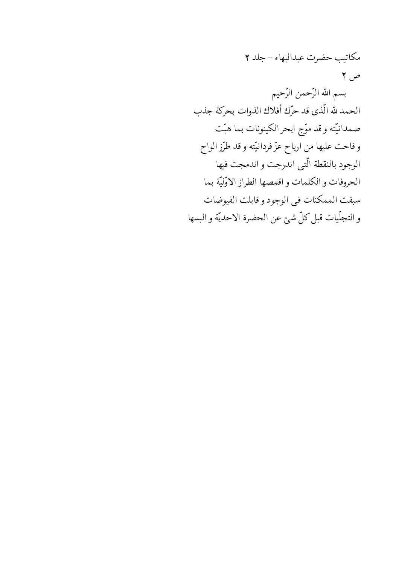مكاتيب حضرت عبدالبهاء – جلد ٢ ص ۲ بسم الله الرَّحمن الرَّحيم الحمد لله الّذي قد حرّك أفلاك الذوات بحركة جذب صمدانيّته وقد موّج ابحر الكينونات بما هبّت وفاحت عليها من ارياح عزّ فردانيّته وقد طرّز الواح الوجود بالنقطة التبي اندرجت واندمجت فيها الحروفات والكلمات واقمصها الطراز الاوّليّة بما سبقت الممكنات في الوجود و قابلت الفيوضات والتجلّيات قبل كلّ شئ عن الحضرة الاحديّة والبسها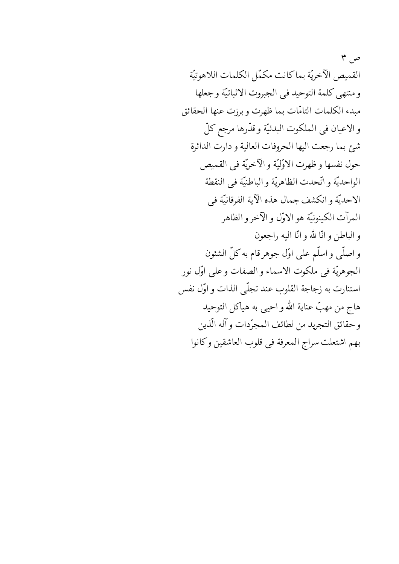ص ۳ القميص الآخريّة بماكانت مكمّل الكلمات اللاهوتيّة ومنتهى كلمة التوحيد في الجبروت الاثباتيّة وجعلها مبدء الكلمات التامّات بما ظهرت وبرزت عنها الحقائق و الاعيان في الملكوت البدئيّة و قدّرها مرجع كلّ شئ بما رجعت اليها الحروفات العالية و دارت الدائرة حول نفسها وظهرت الاوّليّة و الآخريّة في القميص الواحديّة واتّحدت الظاهريّة والباطنيّة في النقطة الاحديّة وانكشف جمال هذه الآية الفرقانيّة في المرآت الكينونيّة هو الاوّل و الآخر و الظاهر والباطن وانّا لله وانّا اليه راجعون و اصلّی و اسلّم علی اوّل جوهر قام به کلّ الشئون الجوهريّة في ملكوت الاسماء و الصفات و على اوّل نور استنارت به زجاجة القلوب عند تجلَّى الذات و اوَّل نفس هاج من مهبّ عناية الله و احيي به هياكل التوحيد وحقائق التجريد من لطائف المجرّدات وآله الّذين بهم اشتعلت سراج المعرفة في قلوب العاشقين وكانوا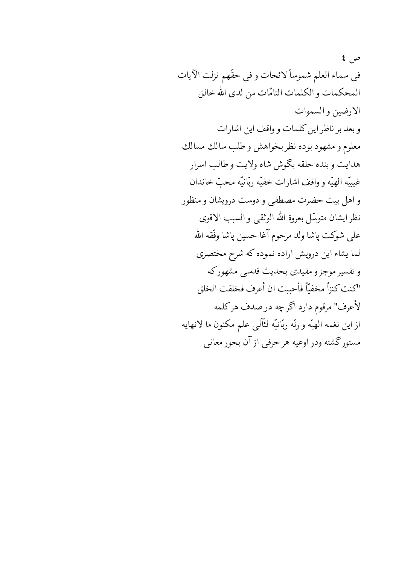$\epsilon$   $\varphi$ في سماء العلم شموساً لائحات و في حقّهم نزلت الآيات المحكمات و الكلمات التامّات من لدى الله خالق الارضين والسموات و بعد بر ناظر این کلمات و واقف این اشارات معلوم و مشهود بوده نظر بخواهش و طلب سالك مسالك هدايت وبنده حلقه بكوش شاه ولايت وطالب اسرار غيبيّه الهيّه وواقف اشارات خفيّه ربّانيّه محبّ خاندان و اهل بيت حضرت مصطفى و دوست درويشان و منظور نظر ايشان متوسّل بعروة الله الوثقي و السبب الاقوى على شوكت پاشا ولد مرحوم آغا حسين پاشا وفّقه الله لما يشاء اين درويش اراده نموده كه شرح مختصري وتفسير موجز ومفيدي بحديث قدسي مشهوركه "كنت كنزاً مخفيّاً فأحببت ان أعرف فخلقت الخلق لأعرف" مرقوم دارد اگر چه در صدف هر كلمه ازاين نغمه الهيّه ورنّه ربّانيّه لئآلمي علم مكنون ما لانهايه مستوركحشته ودر اوعيه هرحرفي ازآن بحور معانبي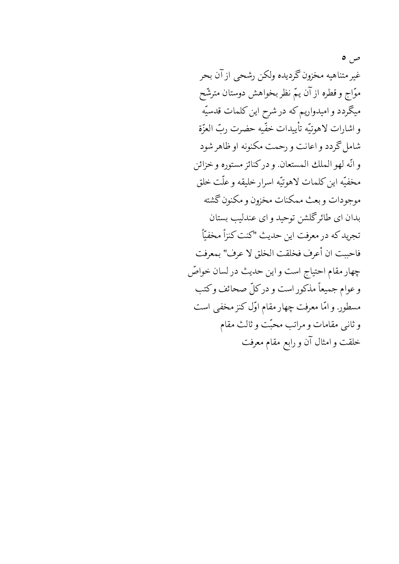ص ہ غير متناهيه مخزون گرديده ولكن رشحي از آن بحر موّاج و قطره از آن یمّ نظر بخواهش دوستان مترشّح میگردد و امیدواریم که در شرح این کلمات قدسیّه و اشارات لاهوتيّه تأييدات خفّيه حضرت ربّ العزّة شامل گردد و اعانت و رحمت مکنونه او ظاهر شود و انّه لهو الملك المستعان ودركنائز مستوره وخزائن مخفيّه اين كلمات لاهوتيّه اسرار خليقه و علّت خلق موجودات وبعث ممكنات مخزون ومكنون كشته بدان ای طائر گلشن توحید و ای عندلیب بستان تجريد كه در معرفت اين حديث "كنت كنزاً مخفيّاً فاحببت ان أعرف فخلقت الخلق لا عرف" بمعرفت چهار مقام احتیاج است و این حدیث در لسان خواصّ وعوام جميعاً مذكور است و دركلّ صحائف وكتب مسطور. و امّا معرفت چهار مقام اوّل کنز مخفی است وثاني مقامات ومراتب محبّت وثالث مقام خلقت و امثال آن و رابع مقام معرفت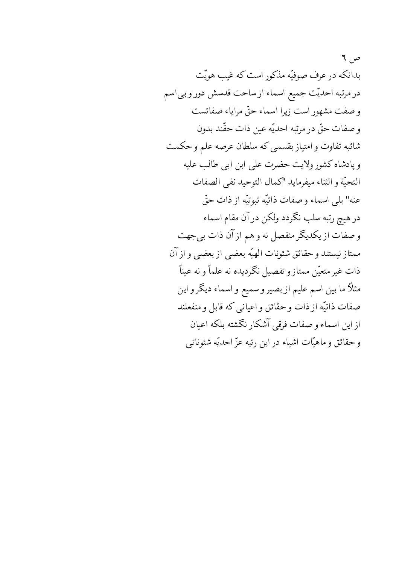ص ٦ بدانکه در عرف صوفیّه مذکور است که غیب هویّت در مرتبه احدیّت جمیع اسماء از ساحت قدسش دور و بی اسم وصفت مشهور است زيرا اسماء حقٌّ مراياء صفاتست وصفات حقٌّ در مرتبه احديَّه عين ذات حقَّند بدون شائبه تفاوت و امتیاز بقسمی که سلطان عرصه علم و حکمت و پادشاه کشور ولایت حضرت علی ابن ابی طالب علیه التحيّة والثناء ميفرمايد "كمال التوحيد نفي الصفات عنه" بلي اسماء و صفات ذاتيّه ثبوتيّه از ذات حقّ در هیچ رتبه سلب نگردد ولکن در آن مقام اسماء و صفات از یکدیگر منفصل نه و هم از آن ذات بی جهت ممتاز نيستند وحقائق شئونات الهيّه بعضبي ازبعضبي وازآن ذات غیر متعیّن ممتاز و تفصیل نگردیده نه علماً و نه عیناً مثلاً ما بين اسم عليم از بصيرو سميع و اسماء ديگرو اين صفات ذاتيّه از ذات و حقائق و اعياني كه قابل و منفعلند از این اسماء و صفات فرقی آشکار نگشته بلکه اعیان وحقائق وماهيّات اشياء در اين رتبه عزّ احديّه شئوناتي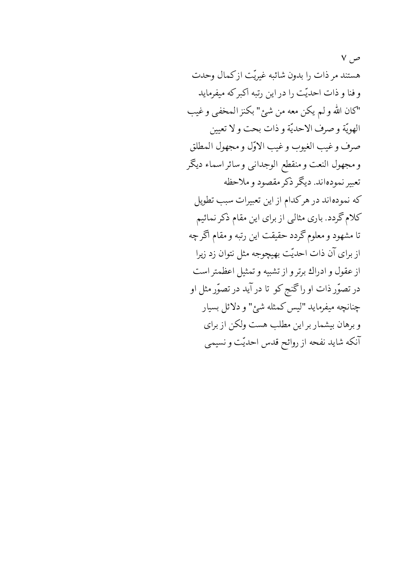$V, \neq$ هستند مر ذات را بدون شائبه غیریّت ازکمال وحدت و فنا و ذات احدیّت را در این رتبه اکبر که میفرماید "كان الله ولم يكن معه من شئ" بكنز المحفى وغيب الهويّة وصرف الاحديّة وذات بحت ولا تعيين صرف وغيب الغيوب وغيب الاوّل ومجهول المطلق و مجهول النعت و منقطع الوجدانبي و سائر اسماء ديگر تعبير نمودهاند. ديگر ذكر مقصود و ملاحظه که نمودهاند در هرکدام از این تعبیرات سبب تطویل کلام گردد. باری مثالبی از برای این مقام ذکر نمائیم تا مشهود و معلوم گردد حقیقت این رتبه و مقام اگر چه از برای آن ذات احدیّت بهیچوجه مثل نتوان زد زیرا از عقول و ادراك برتر و از تشبيه و تمثيل اعظمتر است در تصوّر ذات او راگنج کو تا در آید در تصوّر مثل او چنانچه میفرماید "لیس کمثله شبئ" و دلائل بسیار و برهان بیشمار بر این مطلب هست ولکن از برای آنکه شاید نفحه از روائح قدس احدیّت و نسیمی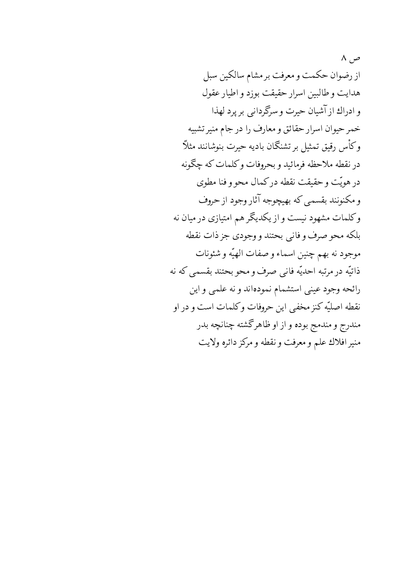$\wedge$   $\sim$ از رضوان حکمت و معرفت بر مشام سالکین سبل هدايت و طالبين اسرار حقيقت بوزد و اطيار عقول و ادراك از آشيان حيرت و سرگرداني بر پرد لهذا خمر حيوان اسرار حقائق و معارف را در جام منير تشبيه وكأس رقيق تمثيل بر تشنگان باديه حيرت بنوشانند مثلاً در نقطه ملاحظه فرمائيد و بحروفات وكلمات كه چگونه در هويّت و حقيقت نقطه دركمال محو و فنا مطوى و مکنونند بقسمی که بهیچوجه آثار وجود از حروف وکلمات مشهود نیست و از یکدیگر هم امتیازی در میان نه بلكه محو صرف و فاني بحتند و وجودي جز ذات نقطه موجود نه بهم چنين اسماء و صفات الهيّه و شئونات ذاتيّه در مرتبه احديّه فاني صرف و محو بحتند بقسمي كه نه رائحه وجود عيني استشمام نمودهاند ونه علمي واين نقطه اصليّه كنز مخفى اين حروفات وكلمات است و در او مندرج و مندمج بوده و از او ظاهرگشته چنانچه بدر منير افلاك علم و معرفت و نقطه و مركز دائره ولايت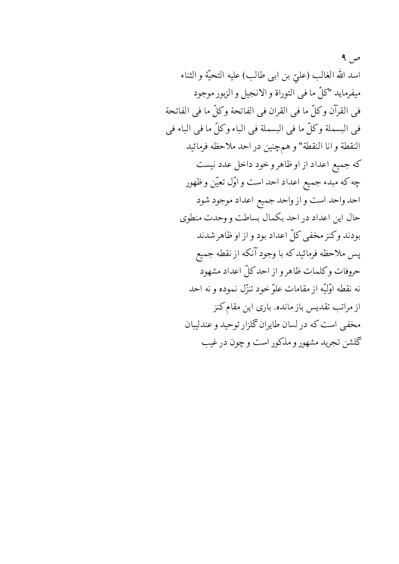$\theta$ اسد الله الغالب (عليّ بن ابي طالب) عليه التحيّة و الثناء ميفرمايد "كلّ ما في التوراة و الانجيل و الزبور موجود في القرآن وكلِّ ما في القران في الفاتحة وكلِّ ما في الفاتحة في البسملة وكلِّ ما في البسملة في الباء وكلِّ ما في الباء في النقطة و انا النقطة" و همچنين در احد ملاحظه فرمائيد كه جميع اعداد از او ظاهر و خود داخل عدد نيست چه که مبدء جمیع اعداد احد است و اوّل تعیّن و ظهور احد واحد است و از واحد جميع اعداد موجود شود حال این اعداد در احد بکمال بساطت و وحدت منطوی بودند وكنز مخفى كلّ اعداد بود و از او ظاهر شدند پس ملاحظه فرمائیدکه با وجود آنکه از نقطه جمیع حروفات وكلمات ظاهر و از احد كلّ اعداد مشهود نه نقطه اوَّليّه از مقامات علوّ خود تنزّل نموده و نه احد از مراتب تقدیس باز مانده. باری این مقام کنز مخفی است که در لسان طایران گلزار توحید و عندلیبان گلشن تجرید مشهور و مذکور است و چون در غیب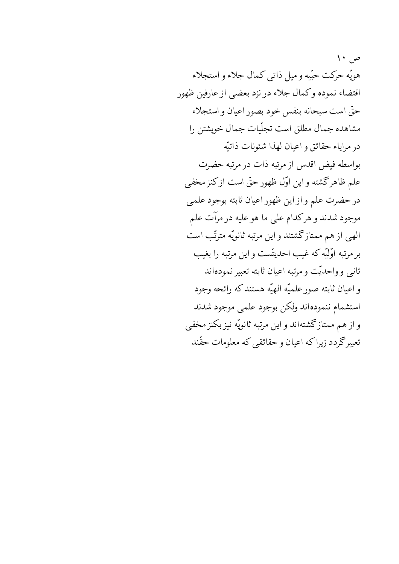$\vee$ هويّه حركت حبّيه وميل ذاتبي كمال جلاء و استجلاء اقتضاء نموده وكمال جلاء در نزد بعضي از عارفين ظهور حقّ است سبحانه بنفس خود بصور اعيان و استجلاء مشاهده جمال مطلق است تجلّیات جمال خویشتن را در مراياء حقائق و اعيان لهذا شئونات ذاتيّه بواسطه فيض اقدس از مرتبه ذات در مرتبه حضرت علم ظاهرگشته و این اوّل ظهور حقّ است ازکنز مخفی در حضرت علم و از این ظهور اعیان ثابته بوجود علمی موجود شدند و هرکدام علی ما هو علیه در مرآت علم الهی از هم ممتازگشتند و این مرتبه ثانویّه مترتّب است بر مرتبه اوَّلِيّه كه غيب احديتّست و اين مرتبه را بغيب ثانی و واحدیّت و مرتبه اعیان ثابته تعبیر نمودهاند و اعيان ثابته صور علميّه الهيّه هستندكه رائحه وجود استشمام ننمودهاند ولكن بوجود علمي موجود شدند واز هم ممتازگشتهاند واین مرتبه ثانویّه نیز بکنز مخفی تعبیرگردد زیراکه اعیان و حقائقی که معلومات حقّند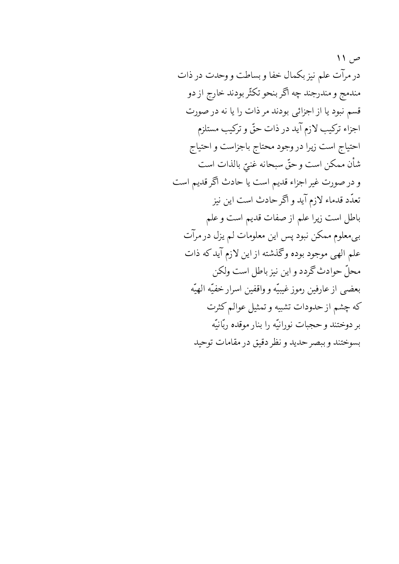ص ۱۱ در مرآت علم نیز بکمال خفا و بساطت و وحدت در ذات مندمج و مندرجند چه اگر بنحو تکثّر بودند خارج از دو قسم نبود یا از اجزائی بودند مر ذات را یا نه در صورت اجزاء تركيب لازم آيد در ذات حقٌّ و تركيب مستلزم احتياج است زيرا در وجود محتاج باجزاست و احتياج شأن ممكن است وحقّ سبحانه غنىّ بالذات است و در صورت غیر اجزاء قدیم است یا حادث اگر قدیم است تعدّد قدماء لازم آید و اگر حادث است این نیز باطل است زیرا علم از صفات قدیم است و علم بی معلوم ممکن نبود پس این معلومات لم یزل در مرآت علم الهي موجود بوده وگذشته از اين لازم آيدكه ذات محلٌّ حوادث گردد و این نیز باطل است ولکن بعضي از عارفين رموز غيبيّه و واقفين اسرار خفيّه الهيّه كه چشم از حدودات تشبيه و تمثيل عوالم كثرت بر دوختند و حجبات نورانيّه را بنار موقده ربّانيّه بسوختند وببصر حديد و نظر دقيق در مقامات توحيد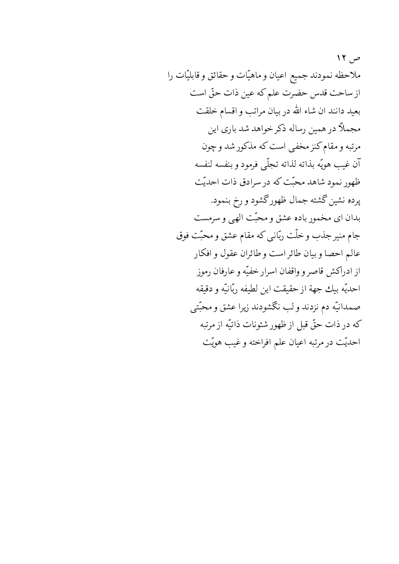ص ۱۲ ملاحظه نمودند جميع اعيان و ماهيّات وحقائق و قابليّات را از ساحت قدس حضرت علم كه عين ذات حقّ است بعيد دانند ان شاء الله در بيان مراتب و اقسام خلقت مجملاً در همین رساله ذکر خواهد شد باری این مرتبه و مقام کنز مخفی است که مذکور شد و چون آن غيب هويّه بذاته لذاته تجلّى فرمود و بنفسه لنفسه ظهور نمود شاهد محبّت که در سرادق ذات احدیّت پرده نشین گشته جمال ظهورگشود و رخ بنمود. بدان ای مخمور باده عشق و محبّت الهی و سرمست جام منیر جذب و خلّت ربّانی که مقام عشق و محبّت فوق عالم احصا وبيان طائر است و طائران عقول و افكار از ادراكش قاصر و واقفان اسرار خفيّه و عارفان رموز احديّه بيك جهة از حقيقت اين لطيفه ربّانيّه و دقيقه صمدانیّه دم نزدند و لب نگشودند زیرا عشق و محبّتی كه در ذات حقٌّ قبل از ظهور شئونات ذاتيّه از مرتبه احديّت در مرتبه اعيان علم افراخته وغيب هويّت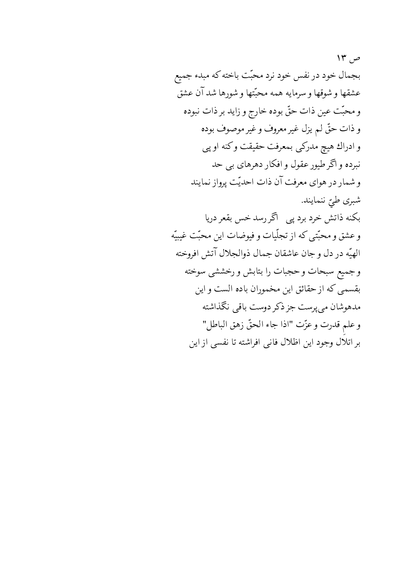ص ۱۳ بجمال خود در نفس خود نرد محبّت باخته که مبدء جميع عشقها وشوقها وسرمايه همه محبّتها وشورها شدآن عشق و محبّت عين ذات حقّ بوده خارج و زايد بر ذات نبوده و ذات حقٌّ لم يزل غير معروف و غير موصوف بوده و ادراك هيچ مدركي بمعرفت حقيقت وكنه او پي نبرده و اگر طیور عقول و افکار دهرهای بی حد و شمار در هواي معرفت آن ذات احديّت پرواز نمايند شبري طيّ ننمايند. بکنه ذاتش خرد برد پی ِ اگر رسد خس بقعر دریا وعشق و محبّتي كه از تجلّيات و فيوضات اين محبّت غيبيّه الهيّه دردل وجان عاشقان جمال ذوالجلال آتش افروخته وجميع سبحات وحجبات را بتابش و رخششي سوخته بقسمي كه از حقائق اين مخموران باده الست و اين مدهوشان مىپوست جز ذكر دوست باقىي نگذاشته وعلم قدرت وعزّت "اذا جاء الحقّ زهق الباطل" بر اتلال وجود این اظلال فانی افراشته تا نفسی از این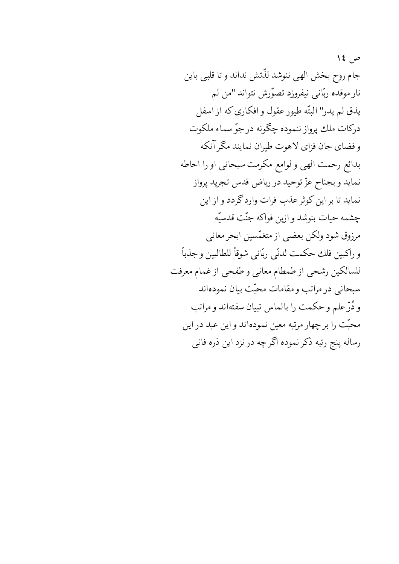ص ١٤ جام روح بخش الهي ننوشد لذّتش نداند و تا قلبي باين نار موقده ربّانی نیفروزد تصوّرش نتواند "من لم يذق لم يدر" البتّه طيور عقول و افكاري كه از اسفل دركات ملك پرواز ننموده چگونه در جوّ سماء ملكوت و فضاي جان فزاي لاهوت طيران نمايند مگر آنكه بدائع رحمت الهي ولوامع مكرمت سبحاني اورا احاطه نمايد و بجناح عزّ توحيد در رياض قدس تجريد پرواز نمايد تا بر اين كوثر عذب فرات وارد گردد و از اين چشمه حيات بنوشد و ازين فواكه جنّت قدسيّه مرزوق شود ولكن بعضي از متغمّسين ابحر معاني و راكبين فلك حكمت لدنّي ربّاني شوقاً للطالبين وجذباً للسالكين رشحي از طمطام معانى و طفحي از غمام معرفت سبحاني درمراتب ومقامات محبّت بيان نمودهاند و دُرِّ علم و حکمت را بالماس تبیان سفتهاند و مراتب محبّت را برچهار مرتبه معین نمودهاند و این عبد در این رساله پنج رتبه ذكر نموده اگرچه در نزد اين ذره فاني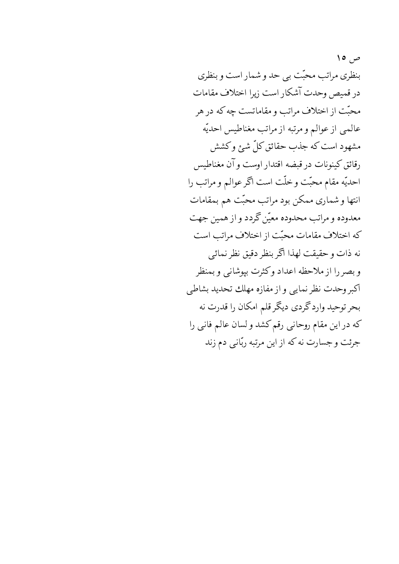ص ۱۰ بنظری مراتب محبّت ببی حد و شمار است و بنظری در قميص وحدت آشكار است زيرا اختلاف مقامات محبّت از اختلاف مراتب و مقاماتست چه که در هر عالمي از عوالم و مرتبه از مراتب مغناطیس احدیّه مشهود است که جذب حقائق کلّ شئ وکشش رقائق كينونات در قبضه اقتدار اوست و آن مغناطيس احديّه مقام محبّت وخلّت است اگر عوالم و مراتب را انتها و شماری ممکن بود مراتب محبّت هم بمقامات معدوده و مراتب محدوده معیّن کردد و از همین جهت که اختلاف مقامات محبّت از اختلاف مراتب است نه ذات وحقيقت لهذا اگر بنظر دقيق نظر نمائي وبصر را از ملاحظه اعداد وكثرت بپوشانبي و بمنظر أكبر وحدت نظر نمايي وإز مفازه مهلك تحديد بشاطي بحر توحید وارد گردي ديگر قلم امکان را قدرت نه كه در اين مقام روحاني رقم كشد و لسان عالم فاني را جرئت وجسارت نه كه از اين مرتبه ربّاني دم زند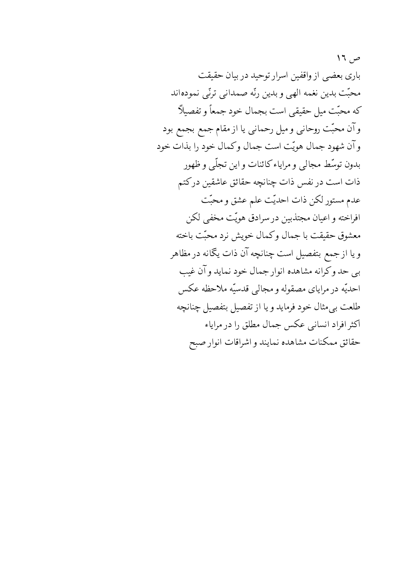$17, \varphi$ باری بعضی از واقفین اسرار توحید در بیان حقیقت محبّت بدين نغمه الهي وبدين رنّه صمداني ترنّي نمودهاند كه محبّت ميل حقيقي است بجمال خود جمعاً و تفصيلاً وآن محبّت روحانی و میل رحمانی یا از مقام جمع بجمع بود وآن شهود جمال هويّت است جمال وكمال خود را بذات خود بدون توسّط مجالبي و مراياء كائنات و اين تجلّى و ظهور ذات است در نفس ذات چنانچه حقائق عاشقین درکتم عدم مستور لكن ذات احديّت علم عشق و محبّت افراخته و اعیان مجتذبین در سرادق هویّت مخفی لکن معشوق حقيقت با جمال وكمال خويش نرد محبّت باخته ويا ازجمع بتفصيل است چنانچه آن ذات يگانه در مظاهر بي حد وكرانه مشاهده انوار جمال خود نمايد وآن غيب احديّه در مراياي مصقوله و مجالبي قدسيّه ملاحظه عكس طلعت بی مثال خود فرماید و یا از تفصیل بتفصیل چنانچه اکثر افراد انسانی عکس جمال مطلق را در مرایاء حقائق ممكنات مشاهده نمايند و اشراقات انوار صبح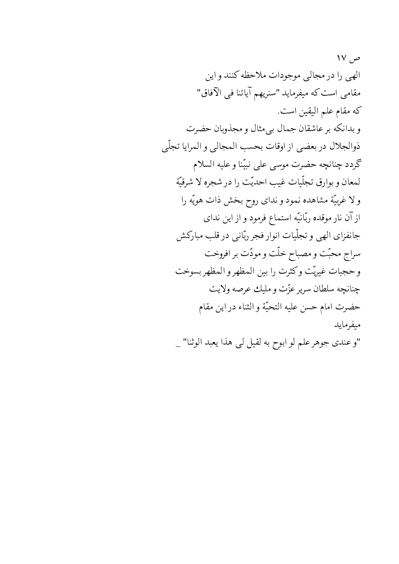$\mathsf{IV}$ ,  $\varphi$ الهي را در مجالي موجودات ملاحظه كنند و اين مقامی است که میفرماید "سنریهم آیاتنا فی الآفاق" كه مقام علم اليقين است. و بدانکه بر عاشقان جمال بی مثال و مجذوبان حضرت ذوالجلال دربعضي از اوقات بحسب المجالي و المرايا تجلّى كردد چنانچه حضرت موسى على نبيّنا وعليه السلام لمعان وبوارق تجلّيات غيب احديّت را در شجره لا شرقيّة ولا غربيّة مشاهده نمود و نداي روح بخش ذات هويّه را از آن نار موقده ربّانيّه استماع فرمود و از اين نداي جانفزاي الهي وتجلّيات انوار فجر ربّاني درقلب مباركش سراج محبّت و مصباح خلّت و مودّت بر افروخت وحجبات غيريّت وكثرت را بين المظهر والمظهر بسوخت چنانچه سلطان سرپر عزّت و مليك عرصه ولايت حضرت امام حسن عليه التحيّة و الثناء در اين مقام ميفرمايد "و عندي جوهر علم لو ابوح به لقيل لي هذا يعبد الوثنا" \_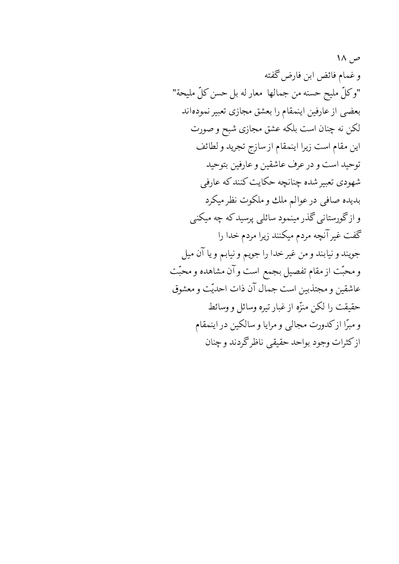ص ۱۸ وغمام فائض ابن فارض گفته "وكلّ مليح حسنه من جمالها ًمعار له بل حسن كلّ مليحة" بعضبي از عارفين اينمقام را بعشق مجازى تعبير نمودهاند لکن نه چنان است بلکه عشق مجازی شبح و صورت این مقام است زیرا اینمقام از سازج تجرید و لطائف توحيد است و در عرف عاشقين و عارفين بتوحيد شهودي تعبير شده چنانچه حکايت کنند که عارفي بدیده صافی در عوالم ملك و ملكوت نظر میكرد و ازگورستانی گذر مینمود سائلی پرسید که چه میکنی گفت غیر آنچه مردم میکنند زیرا مردم خدا را جويند و نيابند و من غير خدا را جويم و نيابم و يا آن ميل و محبّت از مقام تفصیل بجمع است و آن مشاهده و محبّت عاشقين و مجتذبين است جمال آن ذات احديّت و معشوق حقيقت را لكن منزِّه از غبار تيره وسائل و وسائط و مبرًّا ازکدورت مجالبی و مرایا و سالکین در اینمقام ازكثرات وجود بواحد حقيقي ناظرگردند و چنان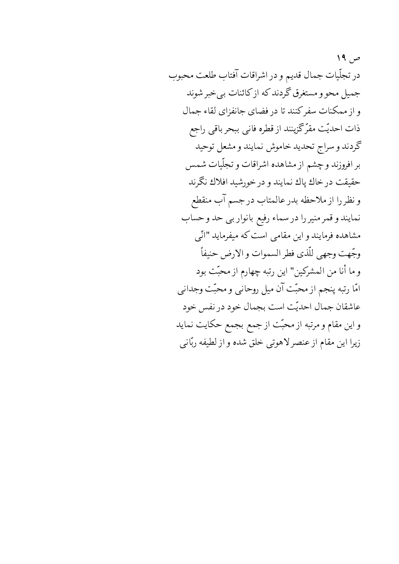$19, p$ در تجلّيات جمال قديم و در اشراقات آفتاب طلعت محبوب جمیل محو و مستغرق گردند که از کائنات بی خبر شوند و از ممکنات سفرکنند تا در فضای جانفزای لقاء جمال ذات احدیّت مقرّکَزینند از قطره فانبی ببحر باقبی راجع گردند و سراج تحدید خاموش نمایند و مشعل توحید بر افروزند و چشم از مشاهده اشراقات و تجلّیات شمس حقيقت درخاك پاك نمايند و در خورشيد افلاك نگرند ونظررا از ملاحظه بدر عالمتاب درجسم آب منقطع نمایند و قمر منیر را در سماء رفیع بانوار بی حد و حساب مشاهده فرمایند و این مقامی است که میفرماید "انّی وجّهت وجهي للّذي فطر السموات و الارض حنيفاً و ما أنا من المشركين" اين رتبه چهارم از محبّت بود امّا رتبه پنجم از محبّت آن میل روحانبی و محبّت وجدانبی عاشقان جمال احديّت است بجمال خود در نفس خود و این مقام و مرتبه از محبّت از جمع بجمع حکایت نماید زيرا اين مقام از عنصر لاهوتي خلق شده و از لطيفه ربّاني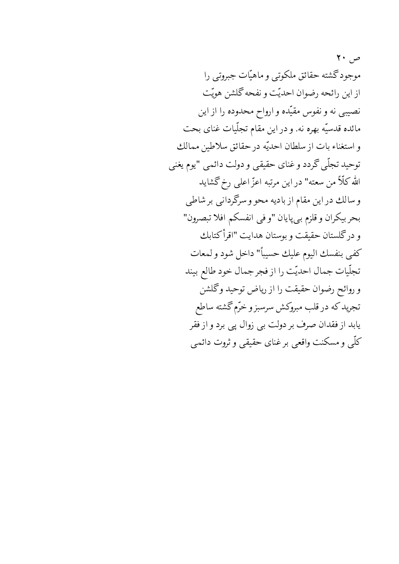$\mathsf{Y}$  .  $\varphi$ موجود گشته حقائق ملکوتبی و ماهیّات جبروتبی را ازاین رائحه رضوان احدیّت و نفحه گلشن هویّت نصیبی نه و نفوس مقیّده و ارواح محدوده را از این مائده قدسیّه بهره نه. و در این مقام تجلّیات غنای بحت واستغناء بات از سلطان احديّه در حقائق سلاطين ممالك توحيد تجلّى گردد و غناي حقيقي و دولت دائمي "يوم يغني الله كلَّأ من سعته" در اين مرتبه اعزّ اعلى رخ گشايد وسالك دراين مقام از باديه محو و سرگردانبي بر شاطي بحربيكران وقلزم بي پايان "وفي انفسكم افلا تبصرون" و درگلستان حقیقت و بوستان هدایت "اقرأكتابك كفي بنفسك اليوم عليك حسيباً" داخل شود ولمعات تجلّيات جمال احديّت را از فجر جمال خود طالع بيند و روائح رضوان حقيقت را از رياض توحيد وكحلشن تجريد كه در قلب مبروكش سرسبز و خرّم گشته ساطع یابد از فقدان صرف بر دولت بی زوال پی برد و از فقر كلَّمي و مسكنت واقعي برغناي حقيقي و ثروت دائمي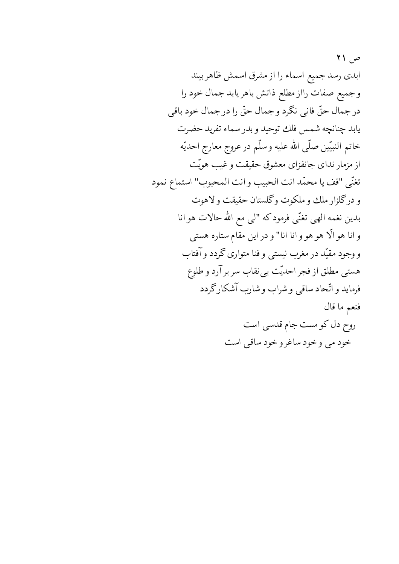ص ۲۱ ابدی رسد جمیع اسماء را از مشرق اسمش ظاهر بیند وجميع صفات رااز مطلع ذاتش باهريابد جمال خود را درجمال حقٌّ فاني نكَرد وجمال حقٌّ را درجمال خود باقي يابد چنانچه شمس فلك توحيد و بدر سماء تفريد حضرت خاتم النبيّين صلّى الله عليه وسلّم در عروج معارج احديّه از مزمار ندای جانفزای معشوق حقیقت و غیب هویّت تغنّي "قف يا محمّد انت الحبيب و انت المحبوب" استماع نمود و درگلزار ملك و ملكوت وگلستان حقيقت و لاهوت بدین نغمه الهی تغنّی فرمودکه "لی مع الله حالات هو انا و انا هو الّا هو هو و انا انا" و در این مقام ستاره هستی و وجود مقیّد در مغرب نیستی و فنا متواری گردد و آفتاب هستی مطلق از فجر احدیّت بی نقاب سر بر آرد و طلوع فرماید و اتّحاد ساقی و شراب و شارب آشکار گردد فنعم ما قال روح دل کو مست جام قدسی است خود مي وخود ساغرو خود ساقي است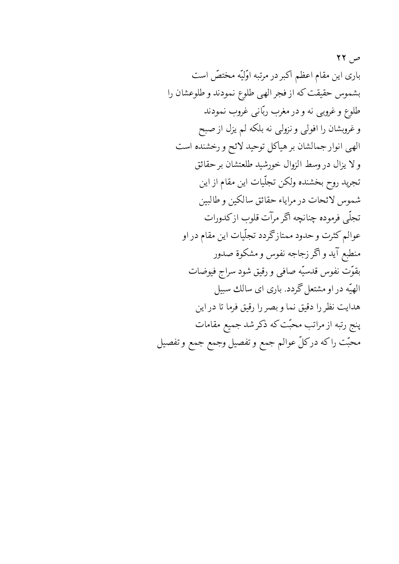$\mathsf{Y}\mathsf{Y}$ باری این مقام اعظم اکبر در مرتبه اوّلیّه مختصّ است بشموس حقيقت كه از فجر الهي طلوع نمودند و طلوعشان را طلوع و غروبی نه و در مغرب ربّانی غروب نمودند و غروبشان را افولی و نزولی نه بلکه لم یزل از صبح الهي انوار جمالشان بر هياكل توحيد لائح و رخشنده است ولا يزال دروسط الزوال خورشيد طلعتشان برحقائق تجريد روح بخشنده ولكن تجلّيات اين مقام از اين شموس لائحات در مراياء حقائق سالكين وطالبين تجلَّى فرموده چنانچه اگر مرآت قلوب ازكدورات عوالم کثرت و حدود ممتازگردد تجلّیات این مقام در او منطبع آيد و اگر زجاجه نفوس و مشكوة صدور بقوّتٍ نفوس قدسيّه صافى و رقيق شود سراج فيوضات الهیّه در او مشتعل گردد. باری ای سالك سبیل هدايت نظررا دقيق نما وبصررا رقيق فرما تا در اين پنج رتبه از مراتب محبّت که ذکر شد جمیع مقامات محبّت راكه دركلّ عوالم جمع وتفصيل وجمع جمع وتفصيل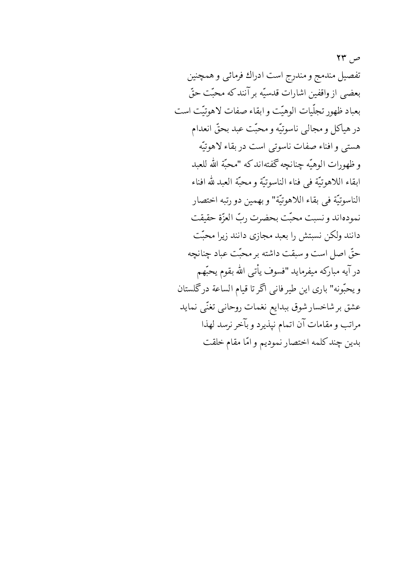$YY, \varphi$ تفصيل مندمج و مندرج است ادراك فرمائي و همچنين بعضي از واقفين اشارات قدسيّه برآنندكه محبّت حقّ بعباد ظهور تجلّيات الوهيّت و ابقاء صفات لاهوتيّت است در هياكل و مجالبي ناسوتيّه و محبّت عبد بحقّ انعدام هستي وافناء صفات ناسوتي است دربقاء لاهوتيّه و ظهورات الوهيّه چنانچه گفتهاند كه "محبّة الله للعبد ابقاء اللاهوتيَّة في فناء الناسوتيَّة و محبَّة العبد لله افناء الناسوتيّة في بقاء اللاهوتيّة" و بهمين دو رتبه اختصار نمودهاند و نسبت محبّت بحضرت ربّ العزّة حقيقت دانند ولکن نسبتش را بعبد مجازی دانند زیرا محبّت حقّ اصل است و سبقت داشته بر محبّت عباد چنانچه درآيه مباركه ميفرمايد "فسوف يأتى الله بقوم يحبّهم ويحبّونه" باري اين طيرفاني أكرتا قيام الساعة درگلستان عشق برشاخسار شوق ببدايع نغمات روحانبي تغنّى نمايد مراتب و مقامات آن اتمام نپذیرد و بآخر نرسد لهذا بدين چند كلمه اختصار نموديم و امّا مقام خلقت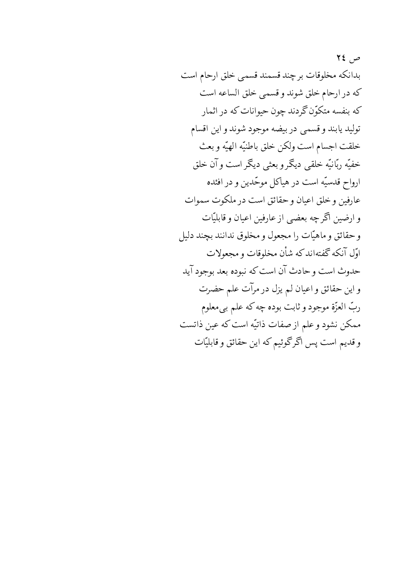$72, 9$ بدانكه مخلوقات برچند قسمند قسمي خلق ارحام است كه در ارحام خلق شوند و قسمي خلق الساعه است که بنفسه متکوّن گردند چون حیوانات که در اثمار توليد يابند وقسمي دربيضه موجود شوند و اين اقسام خلقت اجسام است ولكن خلق باطنيّه الهيّه وبعث خفيّه ربّانيّه خلقي ديگر و بعثي ديگر است و آن خلق ارواح قدسیّه است در هیاکل موحّدین و در افئده عارفين وخلق اعيان وحقائق است در ملكوت سموات و ارضین اگر چه بعضبی از عارفین اعیان و قابلیّات وحقائق وماهيّات را مجعول ومخلوق ندانند بچند دليل اوّل آنکه گفتهاندکه شأن مخلوقات و مجعولات حدوث است و حادث آن است که نبوده بعد بوجود آید و این حقائق و اعیان لم یزل در مرآت علم حضرت ربّ العزّة موجود و ثابت بوده چه كه علم بي معلوم ممکن نشود و علم از صفات ذاتیّه است که عین ذاتست و قدیم است پس اگرگوئیم که این حقائق و قابلیّات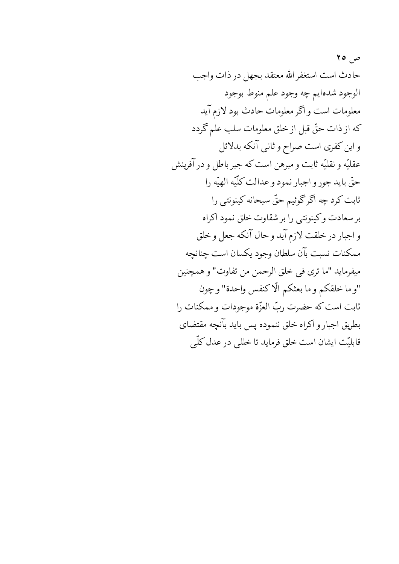ص ۲۰ حادث است استغفر الله معتقد بجهل در ذات واجب الوجود شدهايم چه وجود علم منوط بوجود معلومات است و اگر معلومات حادث بود لازم آید كه از ذات حقٌّ قبل از خلق معلومات سلب علم گردد و این کفری است صراح و ثانبی آنکه بدلائل عقليّه ونقليّه ثابت ومبرهن است كه جبر باطل و در آفرينش حقٌّ بايد جورٍ و اجبار نمود و عدالت كلَّيّه الهيّه را ثابت كرد چه اگرگوئيم حقّ سبحانه كينونتي را برسعادت وكينونتي را برشقاوت خلق نمود اكراه و اجبار در خلقت لازم آيد و حال آنكه جعل و خلق ممكنات نسبت بآن سلطان وجود يكسان است جنانجه ميفرمايد "ما ترى في خلق الرحمن من تفاوت" و همچنين "و ما خلقكم و ما بعثكم الّاكنفس واحدة" وچون ثابت است که حضرت ربّ العزّة موجودات و ممکنات را بطريق اجبار وأكراه خلق ننموده پس بايد بآنچه مقتضاي قابلیّت ایشان است خلق فرماید تا خللی در عدل کلّی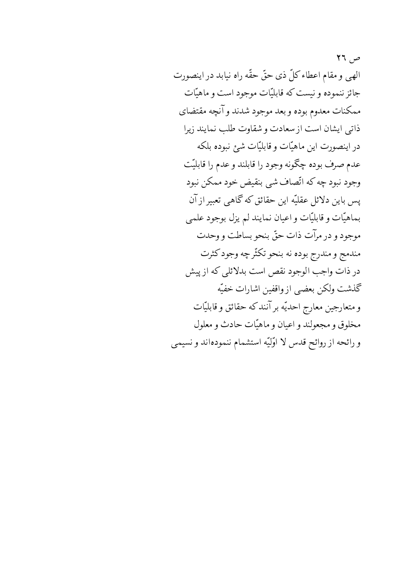$\mathcal{M}$   $\mathcal{M}$ الهي و مقام اعطاء كلِّ ذي حقٍّ حقَّه راه نيابد در اينصورت جائز ننموده ونيست كه قابليّات موجود است و ماهيّات ممكنات معدوم بوده و بعد موجود شدند و آنچه مقتضاي ذاتبي ايشان است از سعادت و شقاوت طلب نمايند زيرا در اينصورت اين ماهيّات و قابليّات شيئ نبوده بلكه عدم صرف بوده چگونه وجود را قابلند و عدم را قابلیّت وجود نبود چه که اتّصاف شي بنقيض خود ممکن نبود پس باین دلائل عقلیّه این حقائق که گاهی تعبیر از آن بماهيّات وقابليّات واعيان نمايند لم يزل بوجود علمي موجود و در مرآت ذات حقّ بنحو بساطت و وحدت مندمج و مندرج بوده نه بنحو تکثّر چه وجود کثرت در ذات واجب الوجود نقص است بدلائلی که از پیش كذشت ولكن بعضي ازواقفين اشارات خفيّه و متعارجين معارج احديّه بر آنند كه حقائق و قابليّات مخلوق و مجعولند و اعيان و ماهيّات حادث و معلول و رائحه از روائح قدس لا اوّليّه استشمام ننمودهاند و نسيمي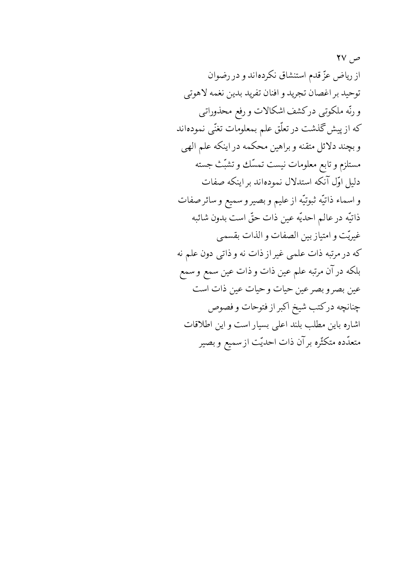$\mathsf{Y} \mathsf{V}$ از ریاض عزّ قدم استنشاق نکردهاند و در رضوان توحيد بر اغصان تجريد و افنان تفريد بدين نغمه لاهوتي و رنّه ملکوتی درکشف اشکالات و رفع محذوراتی که از پیش گذشت در تعلّق علم بمعلومات تغنّی نمودهاند و بچند دلائل متقنه و براهین محکمه در اینکه علم الهی مستلزم وتابع معلومات نيست تمسّك وتشبّث جسته دلیل اوّل آنکه استدلال نمودهاند بر اینکه صفات و اسماء ذاتيّه ثبوتيّه از عليم و بصير و سميع و سائر صفات ذاتيّه در عالم احديّه عين ذات حقّ است بدون شائبه غيريّت وامتياز بين الصفات والذات بقسمى که در مرتبه ذات علمی غیر از ذات نه و ذاتی دون علم نه بلكه درآن مرتبه علم عين ذات و ذات عين سمع و سمع عين بصرو بصرعين حيات وحيات عين ذات است چنانچه درکتب شیخ اکبر از فتوحات و فصوص اشاره باین مطلب بلند اعلی بسیار است و این اطلاقات متعدّده متكثّره برآن ذات احديّت از سميع و بصير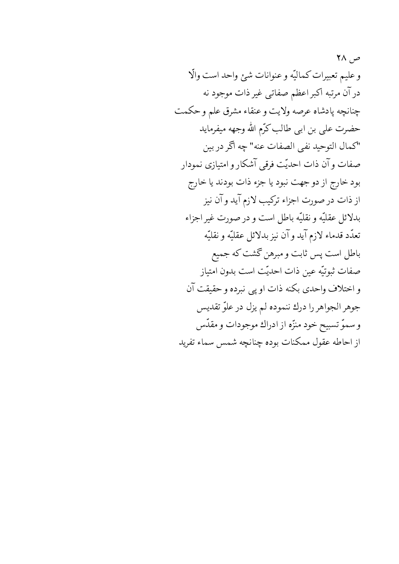ص ۲۸ وعليم تعبيرات كماليّه وعنوانات شئ واحد است والّا در آن مرتبه اکبر اعظم صفاتی غیر ذات موجود نه چنانچه پادشاه عرصه ولايت و عنقاء مشرق علم و حكمت حضرت على بن ابى طالب كرّم الله وجهه ميفرمايد "كمال التوحيد نفي الصفات عنه" چه اگر در بين صفات وآن ذات احديّت فرقبي آشكار و امتيازي نمودار بود خارج از دو جهت نبود یا جزء ذات بودند یا خارج از ذات در صورت اجزاء ترکیب لازم آید و آن نیز بدلائل عقليّه ونقليّه باطل است و در صورت غير اجزاء تعدَّد قدماء لازم آيد وآن نيز بدلائل عقليَّه و نقليَّه باطل است پس ثابت و مبرهن گشت که جمیع صفات ثبوتيّه عين ذات احديّت است بدون امتياز و اختلاف واحدى بكنه ذات او پي نبرده و حقيقت آن جوهر الجواهر را درك ننموده لم يزل در علوّ تقديس وسموّ تسبيح خود منزّه از ادراك موجودات و مقدّس از احاطه عقول ممكنات بوده چنانچه شمس سماء تفريد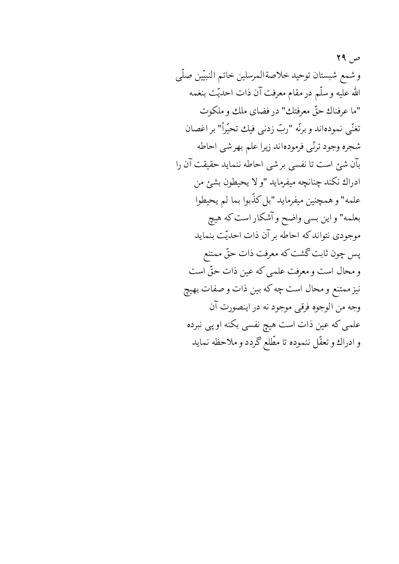ص ۲۹ وشمع شبستان توحيد خلاصةالمرسلين خاتم النبيّين صلّى الله عليه وسلّم در مقام معرفت آن ذات احديّت بنغمه "ما عرفناك حقٌّ معرفتك" در فضاي ملك و ملكوت تغنّي نمودهاند وبرنّه "ربّ زدنبي فيك تحيّراً" بر اغصان شجره وجود ترنّى فرمودهاند زيرا علم بهرشي احاطه بآن شئ است تا نفسی برشی احاطه ننماید حقیقت آن را ادراك نكند چنانچه ميفرمايد "و لا يحيطون بشئ من علمه" و همچنین میفرماید "بل کذّبوا بما لم یحیطوا بعلمه" واین بسی واضح و آشکار است که هیچ موجودي نتواند كه احاطه برآن ذات احديّت بنمايد پس چون ثابت گشت که معرفت ذات حقّ ممتنع و محال است و معرفت علمی که عین ذات حقّ است نیز ممتنع و محال است چه که بین ذات و صفات بهیچ وجه من الوجوه فرقي موجود نه در اينصورت آن علمی که عین ذات است هیچ نفسی بکنه او پی نبرده و ادراك و تعقّل ننموده تا مطّلع گردد و ملاحظه نمايد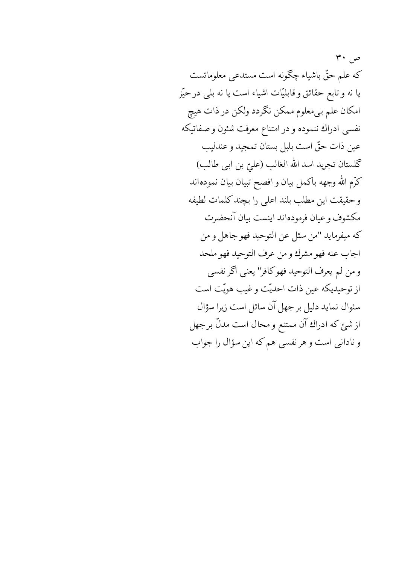$\mathbf{r} \cdot \mathbf{r}$ كه علم حقٌّ باشياء چگونه است مستدعى معلوماتست یا نه و تابع حقائق و قابلیّات اشیاء است یا نه بلی در حیّز امکان علم بی معلوم ممکن نگردد ولکن در ذات هیچ نفسی ادراك ننموده و در امتناع معرفت شئون و صفاتيكه عين ذات حقّ است بلبل بستان تمجيد و عندليب كَلستان تجريد اسد الله الغالب (عليّ بن ابي طالب) كرَّم الله وجهه باكمل بيان و افصح تبيان بيان نمودهاند وحقيقت اين مطلب بلند اعلى را بچند كلمات لطيفه مكشوف وعيان فرمودهاند اينست بيان آنحضرت كه ميفرمايد "من سئل عن التوحيد فهو جاهل و من اجاب عنه فهو مشرك ومن عرف التوحيد فهو ملحد و من لم يعرف التوحيد فهوكافر" يعني أكر نفسي از توحیدیکه عین ذات احدیّت و غیب هویّت است سئوال نماید دلیل برجهل آن سائل است زیرا سؤال از شئ كه ادراك آن ممتنع و محال است مدلّ بر جهل و نادانی است و هر نفسی هم که این سؤال را جواب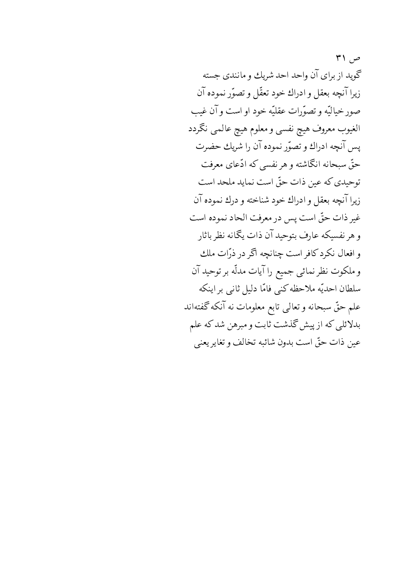۳۱ $\sim$ گوید از برای آن واحد احد شریك و مانندی جسته زيرا آنچه بعقل و ادراك خود تعقّل و تصوّر نموده آن صور خياليّه و تصوّرات عقليّه خود او است و آن غيب الغيوب معروف هيچ نفسي و معلوم هيچ عالمي نگردد يس آنچه ادراك و تصوّر نموده آن را شريك حضرت حقّ سبحانه انگاشته و هر نفسی که ادّعای معرفت توحیدی که عین ذات حقّ است نماید ملحد است زيرا آنچه بعقل و ادراك خود شناخته و درك نموده آن غير ذات حقَّ است پس در معرفت الحاد نموده است و هر نفسیکه عارف بتوحید آن ذات یگانه نظر باثار و افعال نکردکافر است چنانچه آگر در ذرّات ملك و ملکوت نظر نمائی جمیع را آیات مدلّه بر توحید آن سلطان احديّه ملاحظه كني فامّا دليل ثاني بر اينكه علم حقٌّ سبحانه و تعالى تابع معلومات نه آنكه گفتهاند بدلائلی که از پیش گذشت ثابت و مبرهن شد که علم عين ذات حقَّ است بدون شائبه تخالف و تغاير يعني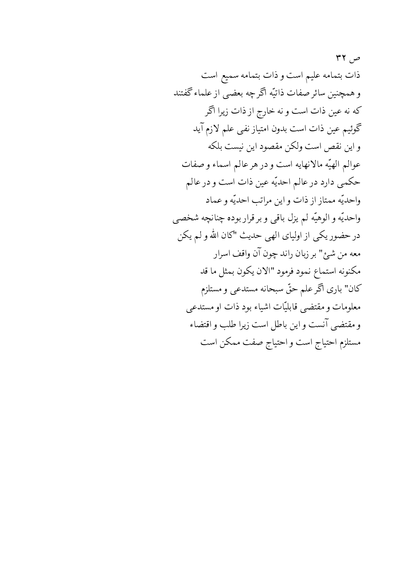ص ۲۲ ذات بتمامه عليم است و ذات بتمامه سميع است و همچنین سائر صفات ذاتیّه اگرچه بعضی از علماء گفتند که نه عین ذات است و نه خارج از ذات زیرا اگر گوئیم عین ذات است بدون امتیاز نفی علم لازم آید و این نقص است ولکن مقصود این نیست بلکه عوالم الهيّه مالانهايه است و در هر عالم اسماء و صفات حكمي دارد درعالم احديّه عين ذات است و درعالم واحديّه ممتاز از ذات و اين مراتب احديّه و عماد واحديّه و الوهيّه لم يزل باقي و بر قرار بوده چنانچه شخصي در حضور یکی از اولیای الهی حدیث "کان الله و لم یکن معه من شيئ" بر زبان راند چون آن واقف اسرار مكنونه استماع نمود فرمود "الان يكون بمثل ما قد كان" باري أكر علم حقٌّ سبحانه مستدعى ومستلزم معلومات و مقتضى قابليّات اشياء بود ذات او مستدعى و مقتضى آنست و اين باطل است زيرا طلب و اقتضاء مستلزم احتياج است و احتياج صفت ممكن است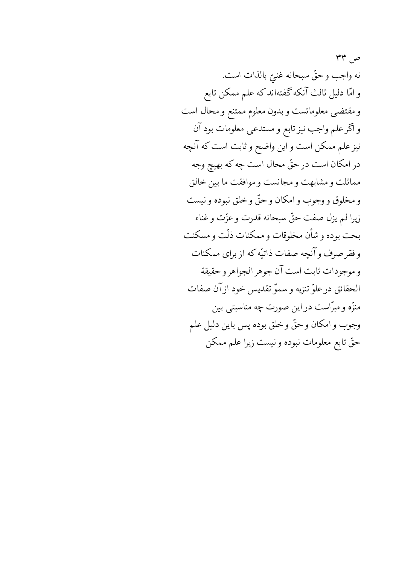ص ۳۳ نه واجب وحقٌّ سبحانه غنيٌّ بالذات است. و امّا دليل ثالث آنكه گفتهاندكه علم ممكن تابع و مقتضى معلوماتست و بدون معلوم ممتنع و محال است و اگر علم واجب نیز تابع و مستدعی معلومات بود آن نیز علم ممکن است و این واضح و ثابت است که آنچه در امکان است در حقّ محال است چه که بهیچ وجه مماثلت ومشابهت ومجانست وموافقت ما بين خالق و مخلوق و وجوب و امکان و حقّ و خلق نبوده و نیست زيرا لم يزل صفت حقٌّ سبحانه قدرت وعزَّت وغناء بحت بوده وشأن مخلوقات و ممكنات ذلّت و مسكنت و فقر صرف و آنچه صفات ذاتیّه که از برای ممکنات و موجودات ثابت است آن جوهر الجواهر و حقيقة الحقائق درعلوِّ تنزيه وسموِّ تقديس خود از آن صفات منزّه و مبرّاست در این صورت چه مناسبتی بین وجوب و امکان و حقٌّ و خلق بوده پس باین دلیل علم حقّ تابع معلومات نبوده و نیست زیرا علم ممکن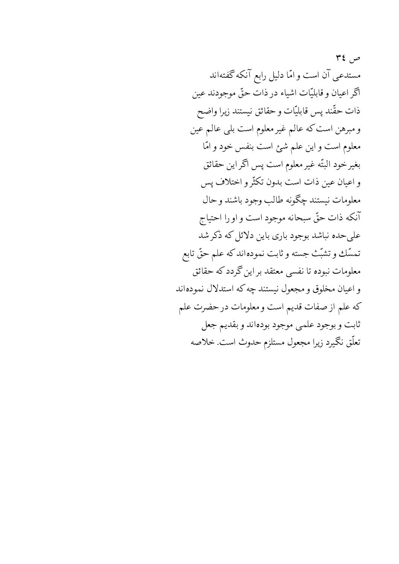$Y\xi$  ص مستدعی آن است و امّا دلیل رابع آنکه گفتهاند آگر اعیان و قابلیّات اشیاء در ذات حقّ موجودند عین ذات حقّند پس قابليّات و حقائق نيستند زيرا واضح و مبرهن است كه عالم غير معلوم است بلي عالم عين معلوم است و این علم شئ است بنفس خود و امّا بغير خود البتّه غير معلوم است پس اگر اين حقائق و اعيان عين ذات است بدون تكثّرو اختلاف پس معلومات نيستند چگونه طالب وجود باشند وحال آنكه ذات حقٌّ سبحانه موجود است و او را احتياج علی حده نباشد بوجود باری باین دلائل که ذکر شد تمسَّك و تشبُّث جسته و ثابت نمودهاند كه علم حقَّ تابع معلومات نبوده تا نفسی معتقد بر این گردد که حقائق و اعیان مخلوق و مجعول نیستند چه که استدلال نمودهاند كه علم از صفات قديم است و معلومات در حضرت علم ثابت و بوجود علمی موجود بودهاند و بقدیم جعل تعلُّق نگيرد زيرا مجعول مستلزم حدوث است. خلاصه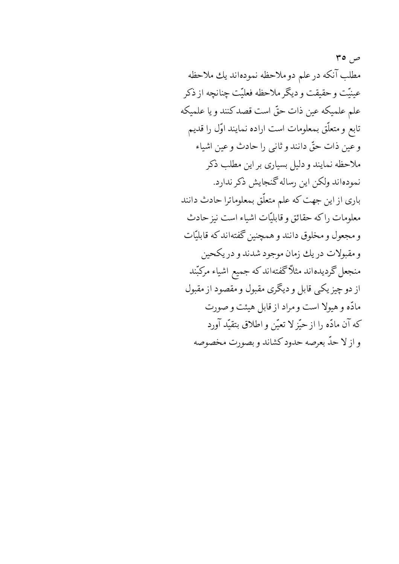ص ٥٣ مطلب آنكه درعلم دوملاحظه نمودهاند يك ملاحظه عینیّت و حقیقت و دیگر ملاحظه فعلیّت چنانچه از ذکر علم علميكه عين ذات حقَّ است قصد كنند و يا علميكه تابع و متعلّق بمعلومات است اراده نمایند اوّل را قدیم وعين ذات حقٌّ دانند و ثاني را حادث وعين اشياء ملاحظه نمایند و دلیل بسیاری بر این مطلب ذکر نمودهاند ولكن اين رساله گنجايش ذكر ندارد. باری از این جهت که علم متعلّق بمعلوماترا حادث دانند معلومات راكه حقائق وقابليّات اشياء است نيز حادث و مجعول و مخلوق دانند و همچنین گفتهاند که قابلیّات و مقبولات دريك زمان موجود شدند و دريكحين منجعل گردیدهاند مثلاً گفتهاند که جمیع اشیاء مرکبّند از دو چیز یکی قابل و دیگری مقبول و مقصود از مقبول مادّه و هیولا است و مراد از قابل هیئت و صورت كه آن مادّه را از حيّزلا تعيّن و اطلاق بتقيّد آورد و از لا حدّ بعرصه حدود كشاند و بصورت مخصوصه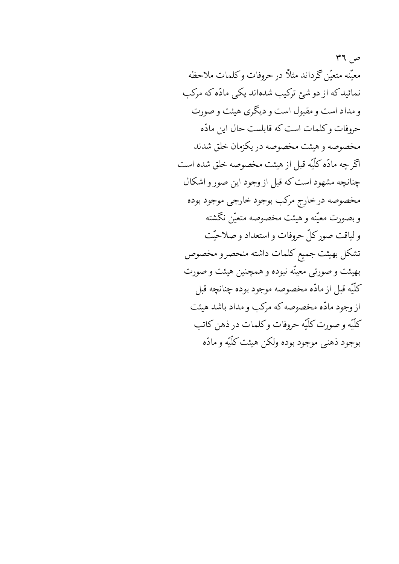$\mathsf{M}$  می معتَّنه متعتَّن كَرداند مثلاً در حروفات وكلمات ملاحظه نمائیدکه از دو شئ ترکیب شدهاند یکی مادّه که مرکب و مداد است و مقبول است و دیگری هیئت و صورت حروفات وكلمات است كه قابلست حال اين مادّه مخصوصه و هیئت مخصوصه در یکزمان خلق شدند آگر چه مادّه کلّیّه قبل از هیئت مخصوصه خلق شده است چنانچه مشهود است که قبل از وجود این صور و اشکال مخصوصه درخارج مركب بوجود خارجي موجود بوده وبصورت معيّنه و هيئت مخصوصه متعيّن نگشته و لیاقت صورکلّ حروفات و استعداد و صلاحیّت تشكل بهيئت جميع كلمات داشته منحصرو مخصوص بهیئت و صورتی معینّه نبوده و همچنین هیئت و صورت كلَّيَّه قبل از مادَّه مخصوصه موجود بوده چنانچه قبل از وجود مادّه مخصوصه که مرکب و مداد باشد هیئت كلّيّه و صورت كلّيّه حروفات وكلمات در ذهن كاتب بوجود ذهنبي موجود بوده ولكن هيئت كلّيّه و مادّه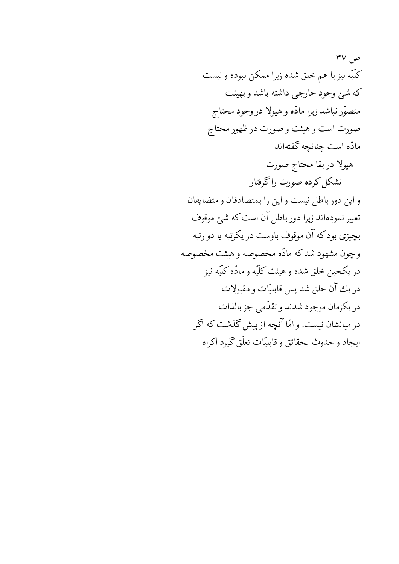۳۷ $\sim$ كلّيّه نيزبا هم خلق شده زيرا ممكن نبوده و نيست كه شئ وجود خارجي داشته باشد و بهيئت متصوّر نباشد زيرا مادّه و هيولا در وجود محتاج صورت است و هیئت و صورت در ظهور محتاج مادّه است چنانچه گفتهاند

هيولا دربقا محتاج صورت تشكل كرده صورت راگرفتار و این دور باطل نیست و این را بمتصادقان و متضایفان تعبیر نمودهاند زیرا دور باطل آن است که شبئ موقوف بچیزی بودکه آن موقوف باوست در یکرتبه یا دو رتبه و چون مشهود شدکه مادّه مخصوصه و هیئت مخصوصه در يكحين خلق شده و هيئت كلّيّه و مادّه كلّيّه نيز در يك آن خلق شد يس قابليّات و مقبولات در يكزمان موجود شدند و تقدّمي جز بالذات در میانشان نیست. و امّا آنچه از پیش گذشت که اگر ايجاد و حدوث بحقائق و قابليّات تعلّق گيرد اكراه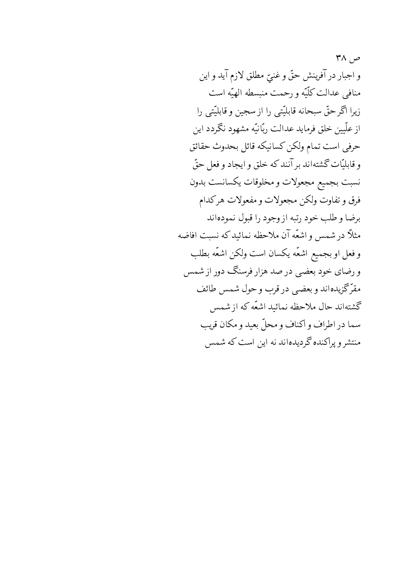$\mathsf{M} \wedge \mathsf{M}$ و اجبار در آفرينش حقٌّ و غنيٌّ مطلق لازم آيد و اين منافي عدالت كلّيّه و رحمت منبسطه الهيّه است زيرا اگر حقّ سبحانه قابليّتي را از سجين و قابليّتي را از علّیین خلق فرماید عدالت ربّانیّه مشهود نگردد این حرفي است تمام ولكن كسانيكه قائل بحدوث حقائق و قابليّات گشتهاند بر آنند كه خلق و ايجاد و فعل حقّ نسبت بجميع مجعولات و مخلوقات يكسانست بدون فرق و تفاوت ولكن مجعولات و مفعولات هركدام برضا وطلب خود رتبه از وجود را قبول نمودهاند مثلاً در شمس و اشعّه آن ملاحظه نمائید که نسبت افاضه و فعل او بجميع اشعّه يكسان است ولكن اشعّه بطلب و رضای خود بعضی در صد هزار فرسنگ دور از شمس مقرّکزیدهاند و بعضبی در قرب و حول شمس طائف گشتهاند حال ملاحظه نمائید اشعّه که از شمس سما در اطراف و اكناف و محلّ بعيد و مكان قريب منتشر و پراکنده گردیدهاند نه این است که شمس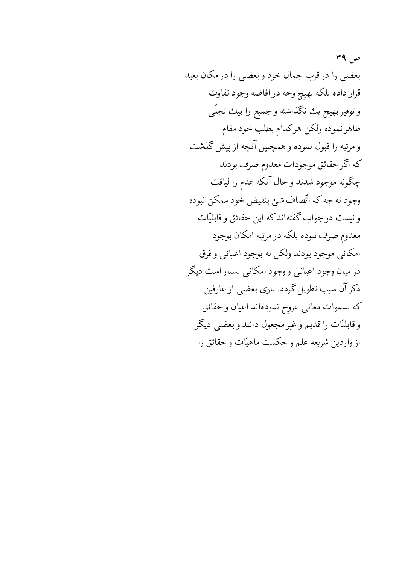ص ۳۹ بعضبي را در قرب جمال خود و بعضبي را در مكان بعيد قرار داده بلكه بهيچ وجه در افاضه وجود تفاوت و توفير بهيچ يك نگذاشته و جميع را بيك تجلّي ظاهر نموده ولكن هركدام بطلب خود مقام ومرتبه را قبول نموده و همچنین آنچه از پیش گذشت که اگر حقائق موجودات معدوم صرف بودند چگونه موجود شدند و حال آنکه عدم را لیاقت وجود نه چه که اتّصاف شئ بنقیض خود ممکن نبوده و نیست در جواب گفتهاند که این حقائق و قابلیّات معدوم صرف نبوده بلكه در مرتبه امكان بوجود امکاني موجود بودند ولکن نه بوجود اعياني و فرق در میان وجود اعیانی و وجود امکانی بسیار است دیگر ذکر آن سبب تطویل گردد. باری بعضبی از عارفین كه بسموات معاني عروج نمودهاند اعيان وحقائق و قابلیّات را قدیم و غیر مجعول دانند و بعضبی دیگر از واردين شريعه علم وحكمت ماهيّات وحقائق را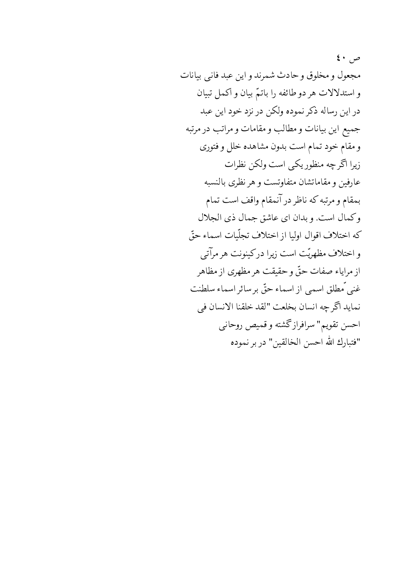$\epsilon \cdot \rho$ مجعول و مخلوق و حادث شمرند و این عبد فانبی بیانات و استدلالات هر دو طائفه را باتمّ بيان و اكمل تبيان در این رساله ذکر نموده ولکن در نزد خود این عبد جميع اين بيانات ومطالب ومقامات ومراتب در مرتبه و مقام خود تمام است بدون مشاهده خلل و فتورى زیرا اگر چه منظور یکی است ولکن نظرات عارفين و مقاماتشان متفاوتست و هر نظرى بالنسبه بمقام و مرتبه که ناظر در آنمقام واقف است تمام وكمال است. وبدان اي عاشق جمال ذي الجلال كه اختلاف اقوال اوليا از اختلاف تجلّيات اسماء حقّ و اختلاف مظهريّت است زيرا دركينونت هر مرآتبي از مراياء صفات حقٌّ وحقيقت هر مظهري از مظاهر غني ٌمطلق اسمي از اسماء حقٌّ بر سائر اسماء سلطنت نمايد أكّر چه انسان بخلعت "لقد خلقنا الانسان في احسن تقويم" سرافرازگشته و قميص روحاني "فتبارك الله احسن الخالقين" در بر نموده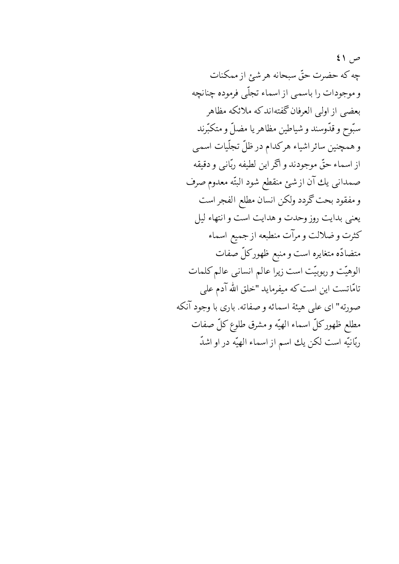$\{ \ }$ چه که حضرت حقّ سبحانه هر شبی از ممکنات و موجودات را باسمي از اسماء تجلّي فرموده چنانچه بعضبي از اولی العرفان گفتهاند که ملائکه مظاهر سبّوح و قدّوسند و شیاطین مظاهر یا مضلّ و متکبّرند و همچنین سائر اشیاء هرکدام در ظلّ تجلّیات اسمی از اسماء حقٌّ موجودند و اگر این لطیفه ربّانبی و دقیقه صمداني يك آن از شئ منقطع شود البتّه معدوم صرف و مفقود بحت گردد ولکن انسان مطلع الفجر است يعني بدايت روز وحدت و هدايت است و انتهاء ليل كثرت و ضلالت و مرآت منطبعه از جميع اسماء متضادّه متغايره است و منبع ظهوركلّ صفات الوهیّت و ربوبیّت است زیرا عالم انسانی عالم کلمات تامّاتست این است که میفرماید "خلق الله آدم علمی صورته" ای علی هیئة اسمائه و صفاته. باری با وجود آنکه مطلع ظهوركلّ اسماء الهيّه و مشرق طلوع كلّ صفات ربّانيّه است لكن يك اسم از اسماء الهيّه در او اشدّ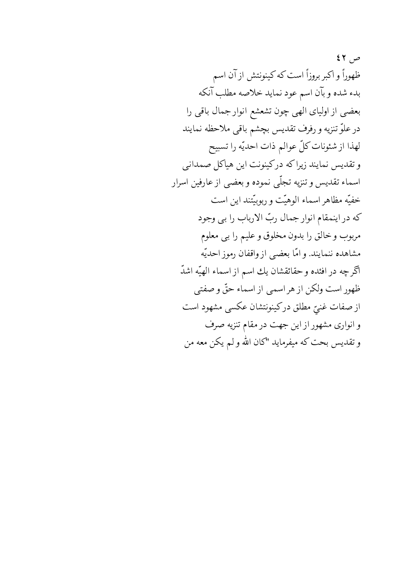$57,7$ ظهوراً و اکبر بروزاً است که کینونتش از آن اسم بدء شده و بآن اسم عود نماید خلاصه مطلب آنکه بعضی از اولیای الهی چون تشعشع انوار جمال باقی را در علوّ تنزيه و رفرف تقديس بچشم باقي ملاحظه نمايند لهذا از شئونات كلّ عوالم ذات احديّه را تسبيح وتقديس نمايند زيراكه دركينونت اين هياكل صمداني اسماء تقديس و تنزيه تجلّى نموده و بعضبي از عارفين اسرار خفيّه مظاهر اسماء الوهيّت و ربوبيّتند اين است كه در اينمقام انوار جمال ربّ الارباب را بي وجود مربوب وخالق را بدون مخلوق و عليم را بي معلوم مشاهده ننمايند. و امّا بعضي از واقفان رموز احديّه آگرچه در افئده و حقائقشان یك اسم از اسماء الهیّه اشدّ ظهور است ولكن از هر اسمي از اسماء حقٌّ و صفتي از صفات غنيّ مطلق دركينونتشان عكسي مشهود است و انواری مشهور از این جهت در مقام تنزیه صرف و تقدیس بحت که میفرماید "کان الله و لم یکن معه من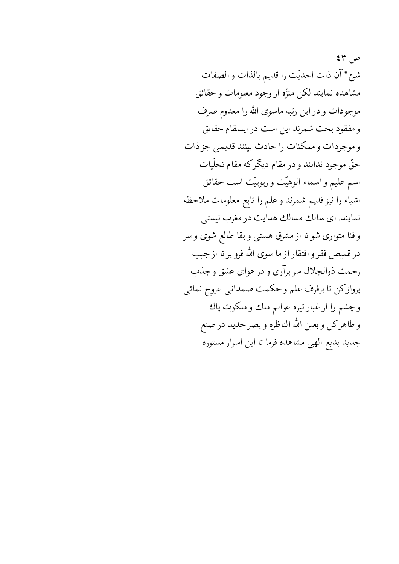ص ۲۳ شئ" آن ذات احديّت را قديم بالذات و الصفات مشاهده نمايند لكن منزّه از وجود معلومات و حقائق موجودات و در این رتبه ماسوی الله را معدوم صرف و مفقود بحت شمرند این است در اینمقام حقائق و موجودات و ممكنات را حادث بينند قديمي جز ذات حقّ موجود ندانند و در مقام دیگرکه مقام تجلّیات اسم عليم و اسماء الوهيّت و ربوبيّت است حقائق اشياء را نيز قديم شمرند و علم را تابع معلومات ملاحظه نمایند. ای سالك مسالك هدایت در مغرب نیستی و فنا متواری شو تا از مشرق هستی و بقا طالع شوی و سر در قمیص فقر و افتقار از ما سوی الله فرو بر تا از جیب رحمت ذوالجلال سربرآري و در هواي عشق و جذب پروازكن تا برفرف علم وحكمت صمداني عروج نمائي وچشم را از غبار تيره عوالم ملك و ملكوت پاك و طاهركن و بعين الله الناظره و بصر حديد در صنع جدید بدیع الهی مشاهده فرما تا این اسرار مستوره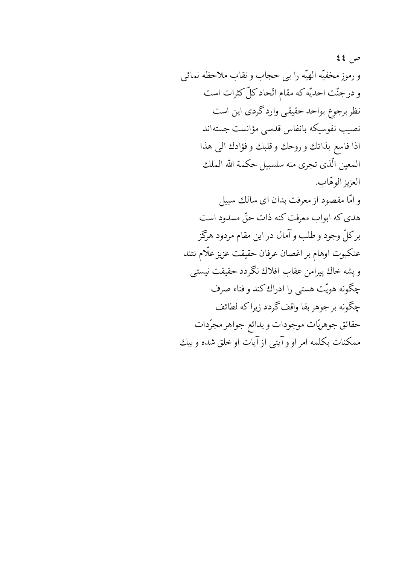$22 \times 10^{-10}$ و رموز مخفيّه الهيّه را بي حجاب و نقاب ملاحظه نمائي و در جنّت احدیّه که مقام اتّحاد کلّ کثرات است نظر برجوع بواحد حقيقى وارد گردى اين است نصيب نفوسيكه بانفاس قدسي مؤانست جستهاند اذا فاسع بذاتك و روحك و قلبك و فؤادك البي هذا المعين الّذي تجرى منه سلسبيل حكمة الله الملك العزيز الوهّاب. و امّا مقصود از معرفت بدان ای سالك سبیل هدی که ابواب معرفت کنه ذات حقّ مسدود است برکلّ وجود و طلب و آمال در این مقام مردود هرگز عنكبوت اوهام بر اغصان عرفان حقيقت عزيز علّام نتند ويشه خاك پيرامن عقاب افلاك نگردد حقيقت نيستبي چگونه هويّت هستبي را ادراك كند و فناء صرف چگونه بر جوهر بقا واقف گردد زیراکه لطائف حقائق جوهريّات موجودات و بدائع جواهر مجرّدات ممكنات بكلمه امراووآيتي ازآيات اوخلق شده وبيك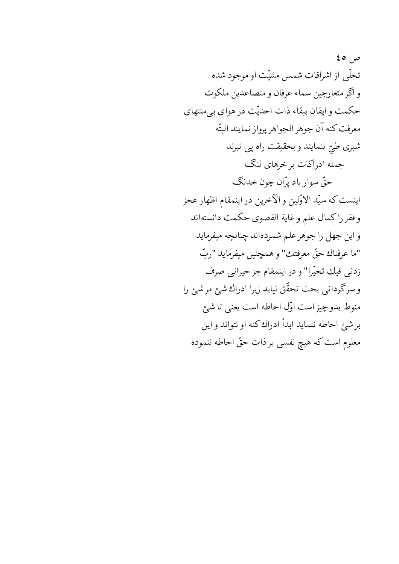ص ٥ ٤ تجلَّى از اشراقات شمس مشيَّت او موجود شده و اگر متعارجين سماء عرفان و متصاعدين ملكوت حکمت و ایقان ببقاء ذات احدیّت در هوای بی منتهای معرفت كنه آن جوهر الجواهر پرواز نمايند البتّه شبري طيّ ننمايند وبحقيقت راه پي نبرند جمله ادراکات بر خرهای لنگ حقّ سوار باد پرّان چون خدنگ اينست كه سيّد الاوّلين و الآخرين در اينمقام اظهار عجز وفقرراكمال علم وغاية القصوى حكمت دانستهاند و این جهل را جوهر علم شمردهاند چنانچه میفرماید "ما عرفناك حقٌّ معرفتك" و همچنين ميفرمايد "ربّ زدنبي فيك تحيّرا" و در اينمقام جز حيرانبي صرف و سرگردانی بحت تحقّق نیابد زیرا ادراك شئ مر شئ را منوط بدوچیز است اوّل احاطه است یعنی تا شئ برشئ احاطه ننمايد ابدأ ادراك كنه او نتواند و اين معلوم است که هیچ نفسی بر ذات حقّ احاطه ننموده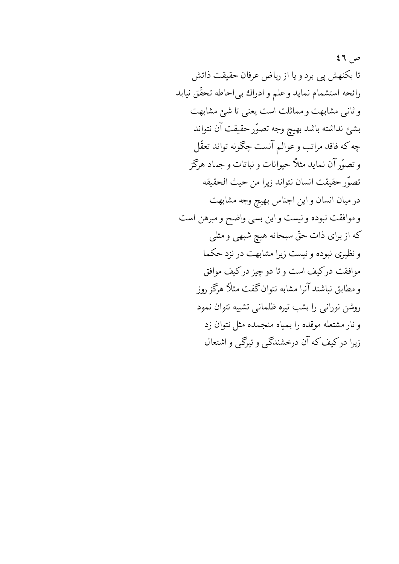$57, 79$ تا بكنهش پي برد و يا از رياض عرفان حقيقت ذاتش رائحه استشمام نمايد وعلم وادراك بي احاطه تحقّق نيابد وثاني مشابهت ومماثلت است يعني تا شئ مشابهت بشئ نداشته باشد بهيچ وجه تصوّر حقيقت آن نتواند چه که فاقد مراتب و عوالم آنست چگونه تواند تعقّل و تصوّر آن نماید مثلاً حیوانات و نباتات و جماد هرگز تصوّر حقيقت انسان نتواند زيرا من حيث الحقيقه در میان انسان و این اجناس بهیچ وجه مشابهت و موافقت نبوده و نیست و این بسی واضح و مبرهن است که از برای ذات حقّ سبحانه هیچ شبهی و مثلی و نظیری نبوده و نیست زیرا مشابهت در نزد حکما موافقت درکیف است و تا دو چیز درکیف موافق و مطابق نباشند آنرا مشابه نتوان گفت مثلاً هرگز روز روشن نورانی را بشب تیره ظلمانی تشبیه نتوان نمود و نار مشتعله موقده را بمیاه منجمده مثل نتوان زد زیرا درکیف که آن درخشندگی و تیرگی و اشتعال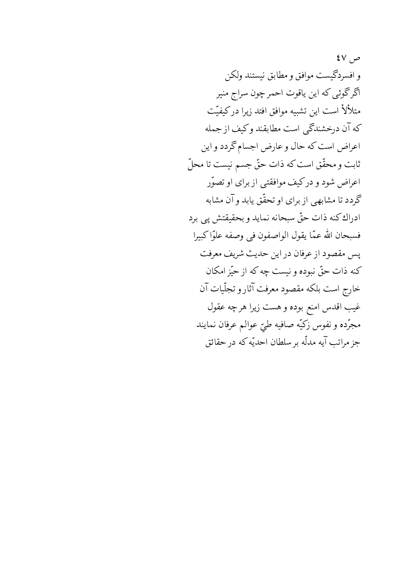$\mathsf{sv}_{\cdot} \neq$ و افسردگیست موافق و مطابق نیستند ولکن اگرگوئی که این یاقوت احمرچون سراج منیر متلألأ است اين تشبيه موافق افتد زيرا دركيفيّت كه آن درخشندگي است مطابقند وكيف از جمله اعراض است كه حال و عارض اجسام گردد و اين ثابت و محقّق است که ذات حقّ جسم نیست تا محلّ اعراض شود و درکیف موافقتی از برای او تصوّر گردد تا مشابهی از برای او تحقّق یابد و آن مشابه ادراك كنه ذات حقٌّ سبحانه نمايد و بحقيقتش پي برد فسبحان الله عمّا يقول الواصفون في وصفه علوّاكبيرا پس مقصود از عرفان در این حدیث شریف معرفت كنه ذات حقٌّ نبوده و نيست چه كه از حيَّز امكان خارج است بلکه مقصود معرفت آثار و تجلّیات آن غیب اقدس امنع بوده و هست زیرا هرچه عقول مجرَّده و نفوس زكيَّه صافيه طيّ عوالم عرفان نمايند جز مراتب آيه مدلّه بر سلطان احديّه كه در حقائق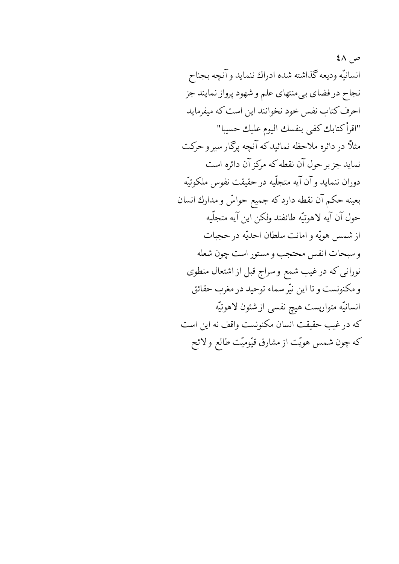$2\wedge$ ,  $\varphi$ انسانيّه وديعه كذاشته شده ادراك ننمايد وآنچه بجناح نجاح در فضاي بيءنتهاي علم و شهود پرواز نمايند جز احرف كتاب نفس خود نخوانند اين است كه ميفرمايد "اقرأكتابك كفي بنفسك اليوم عليك حسيبا" مثلاً در دائره ملاحظه نمائیدکه آنچه پرگار سیر و حرکت نماید جز بر حول آن نقطه که مرکز آن دائره است دوران ننمايد وآن آيه متجلّيه درحقيقت نفوس ملكوتيّه بعينه حكم آن نقطه داردكه جميع حواسٍّ و مدارك انسان حول آن آيه لاهوتيّه طائفند ولكن اين آيه متجلّيه ازشمس هويّه وامانت سلطان احديّه در حجبات وسبحات انفس محتجب ومستور است چون شعله نورانی که در غیب شمع و سراج قبل از اشتعال منطوی و مکنونست و تا این نیّر سماء توحید در مغرب حقائق انسانيّه متواريست هيچ نفسي از شئون لاهوتيّه كه درغيب حقيقت انسان مكنونست واقف نه اين است که چون شمس هویّت از مشارق قیّومیّت طالع و لائح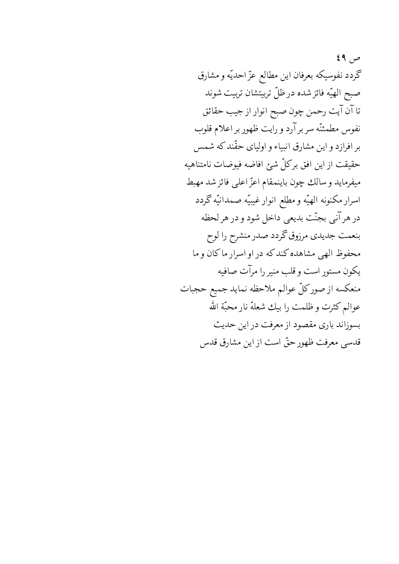ص ۶۹ گردد نفوسیکه بعرفان این مطالع عزّ احدیّه و مشارق صبح الهيّه فائز شده در ظلّ تربيتشان تربيت شوند تا آن آیت رحمن چون صبح انوار از جیب حقائق نفوس مطمئنّه سربرآرد و رایت ظهور بر اعلام قلوب بر افرازد و این مشارق انبیاء و اولیای حقّند که شمس حقيقت ازاين افق بركلّ شئ افاضه فيوضات نامتناهيه ميفرمايد وسالك چون باينمقام اعزّ اعلى فائز شد مهبط اسرار مكنونه الهيّه و مطلع انوار غيبيّه صمدانيّه گردد در هر آني بجنّت بديعي داخل شود و در هر لحظه بنعمت جدیدی مرزوق گردد صدر منشرح را لوح محفوظ الهي مشاهده كندكه در او اسرار ماكان و ما يكون مستور است وقلب منير را مرآت صافيه منعكسه از صوركلّ عوالم ملاحظه نمايد جميع حجبات عوالم كثرت وظلمت را بيك شعلة نار محبّة الله بسوزاند باری مقصود از معرفت در این حدیث قدسی معرفت ظهور حقّ است از این مشارق قدس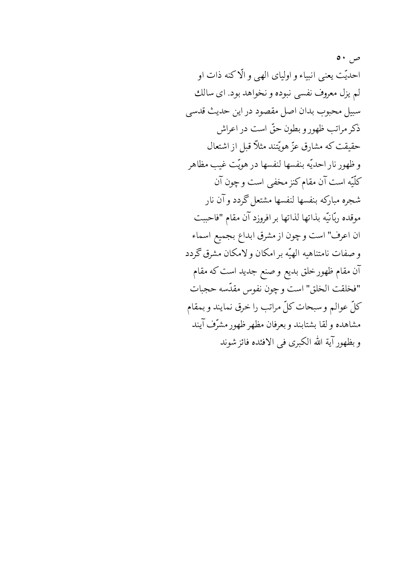$\bullet \cdot$   $\bullet$ احديّت يعني انبياء و اولياي الهي و الّاكنه ذات او لم يزل معروف نفسي نبوده و نخواهد بود. اي سالك سبيل محبوب بدان اصل مقصود در اين حديث قدسي ذكر مراتب ظهور و بطون حقّ است در اعراش حقيقت كه مشارق عزّ هويّتند مثلاً قبل از اشتعال وظهور نار احديّه بنفسها لنفسها درهويّت غيب مظاهر كلّيّه است آن مقام كنز مخفى است و چون آن شجره مباركه بنفسها لنفسها مشتعل گردد وآن نار موقده ربّانيّه بذاتها لذاتها بر افروزد آن مقام "فاحببت ان اعرف" است و چون از مشرق ابداع بجميع اسماء و صفات نامتناهیه الهیّه بر امکان و لامکان مشرق گردد آن مقام ظهور خلق بدیع و صنع جدید است که مقام "فخلقت الخلق" است وچون نفوس مقدّسه حجبات كلِّ عوالم وسبحات كلِّ مراتب را خرق نمايند و بمقام مشاهده ولقا بشتابند وبعرفان مظهر ظهور مشرّف آيند و بظهور آية الله الكبرى في الافئده فائز شوند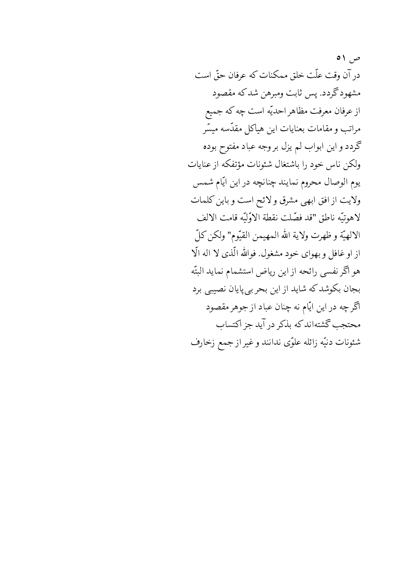در آن وقت علّت خلق ممکنات که عرفان حقّ است مشهود گردد. پس ثابت ومبرهن شدکه مقصود از عرفان معرفت مظاهر احديّه است چه كه جميع مراتب و مقامات بعنایات این هیاکل مقدّسه میسّر گردد و این ابواب لم یزل بر وجه عباد مفتوح بوده ولكن ناس خود را باشتغال شئونات مؤتفكه از عنايات يوم الوصال محروم نمايند چنانچه در اين ايّام شمس ولايت از افق ابهى مشرق ولائح است وباين كلمات لاهوتيّه ناطق "قد فصّلت نقطة الاوّليّه قامت الالف الالهيّة و ظهرت ولاية الله المهيمن القيّوم" ولكن كلّ از او غافل و بهوای خود مشغول. فوالله الّذی لا اله الّا هو اگر نفسی رائحه از این ریاض استشمام نماید البتّه بجان بکوشد که شاید از این بحر بی پایان نصیبی برد آگرچه در این ایّام نه چنان عباد از جوهر مقصود محتجب گشتهاند که بذکر در آید جز اکتساب شئونات دنيّه زائله علوّى ندانند و غير از جمع زخارف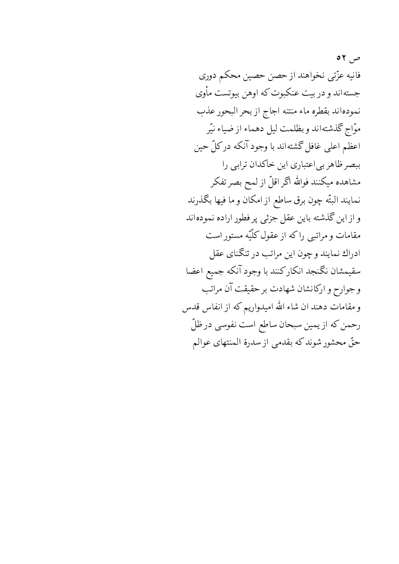ص ۲ ه فانيه عزّتي نخواهند از حصن حصين محكم دوري جستهاند و در بیت عنکبوت که اوهن بیوتست مأوی نمودهاند بقطره ماء منتنه اجاج از بحر البحور عذب موّاج گذشتهاند و بظلمت ليل دهماء از ضياء نيّر اعظم اعلی غافل گشتهاند با وجود آنکه درکلّ حین ببصر ظاهر بی اعتباری این خاکدان ترابی را مشاهده میکنند فوالله اگر اقلّ از لمح بصر تفکر نمايند البتّه چون برق ساطع از امكان و ما فيها بگذرند و از این گذشته باین عقل جزئی پر فطور اراده نمودهاند مقامات و مراتبی راکه از عقول کلّیّه مستور است ادراك نمايند وچون اين مراتب در تنگناي عقل سقيمشان نكمنجد انكاركنند با وجود آنكه جميع اعضا وجوارح واركانشان شهادت برحقيقت آن مراتب و مقامات دهند ان شاء الله امیدواریم که از انفاس قدس رحمن كه از يمين سبحان ساطع است نفوسى در ظلّ حقٌّ محشور شوندكه بقدمي از سدرة المنتهاى عوالم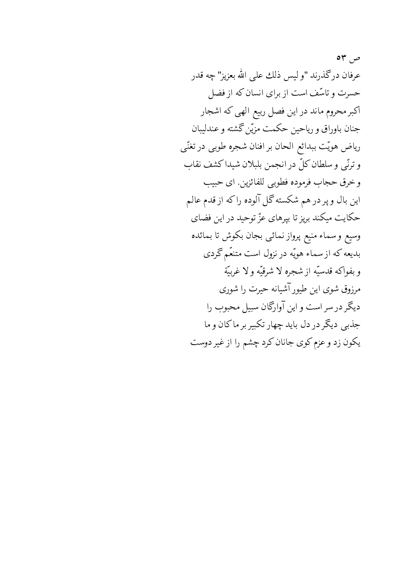ص ۳ه عرفان درگذرند "و ليس ذلك على الله بعزيز" چه قدر حسرت و تاسّف است از برای انسان که از فضل اکبر محروم ماند در این فصل ربیع الهی که اشجار جنان باوراق و رياحين حكمت مزيّن گشته و عندليبان رياض هويّت ببدائع الحان برافنان شجره طوبي درتغنّي وترتَّبي وسلطان كلِّ در انجمن بلبلان شيداكشف نقاب و خرق حجاب فرموده فطوبي للفائزين اي حبيب این بال و پر در هم شکسته گل آلوده راکه از قدم عالم حکایت میکند بریز تا بپرهای عزّ توحید در این فضای وسيع وسماء منيع پرواز نمائيي بجان بكوش تا بمائده بدیعه که از سماء هویّه در نزول است متنعّم گردی و بفواكه قدسيّه از شجره لا شرقيّه و لا غربيّة مرزوق شوی این طیور آشیانه حیرت را شوری دیگر در سر است و این آوارگان سبیل محبوب را جذبي ديگر در دل بايد چهار تكبير بر ماكان و ما یکون زد و عزم کوی جانان کرد چشم را از غیر دوست